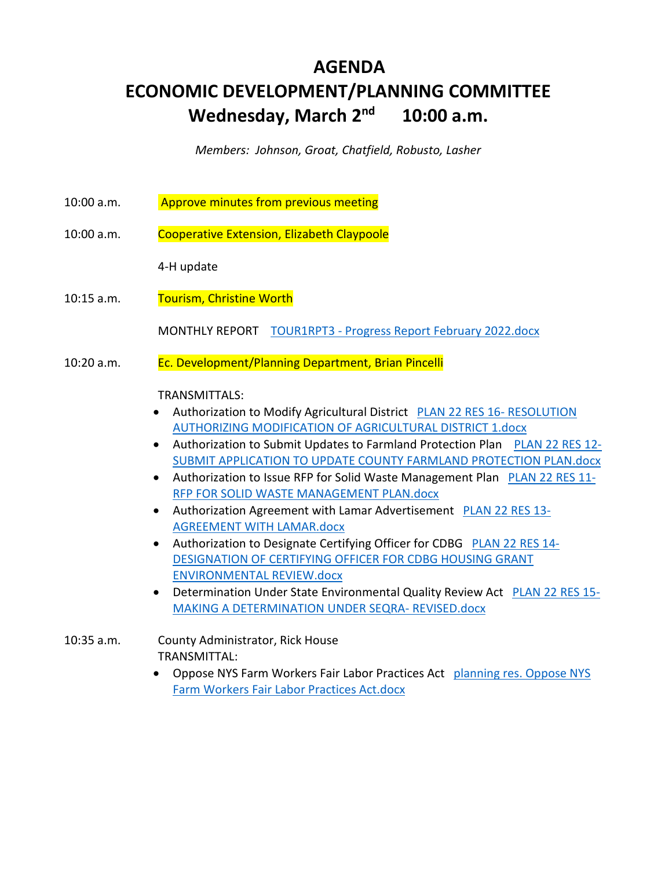# **AGENDA ECONOMIC DEVELOPMENT/PLANNING COMMITTEE Wednesday, March 2nd 10:00 a.m.**

*Members: Johnson, Groat, Chatfield, Robusto, Lasher* 

- 10:00 a.m. **Approve minutes from previous meeting**
- 10:00 a.m. Cooperative Extension, Elizabeth Claypoole

4-H update

10:15 a.m. Tourism, Christine Worth

MONTHLY REPORT TOUR1RPT3 - Progress Report February 2022.docx

10:20 a.m. Ec. Development/Planning Department, Brian Pincelli

TRANSMITTALS:

- Authorization to Modify Agricultural District PLAN 22 RES 16- RESOLUTION AUTHORIZING MODIFICATION OF AGRICULTURAL DISTRICT 1.docx
- Authorization to Submit Updates to Farmland Protection Plan PLAN 22 RES 12- SUBMIT APPLICATION TO UPDATE COUNTY FARMLAND PROTECTION PLAN.docx
- Authorization to Issue RFP for Solid Waste Management Plan PLAN 22 RES 11- RFP FOR SOLID WASTE MANAGEMENT PLAN.docx
- Authorization Agreement with Lamar Advertisement PLAN 22 RES 13- AGREEMENT WITH LAMAR.docx
- Authorization to Designate Certifying Officer for CDBG PLAN 22 RES 14- DESIGNATION OF CERTIFYING OFFICER FOR CDBG HOUSING GRANT ENVIRONMENTAL REVIEW.docx
- Determination Under State Environmental Quality Review Act PLAN 22 RES 15- MAKING A DETERMINATION UNDER SEQRA- REVISED.docx

## 10:35 a.m. County Administrator, Rick House TRANSMITTAL:

• Oppose NYS Farm Workers Fair Labor Practices Act planning res. Oppose NYS Farm Workers Fair Labor Practices Act.docx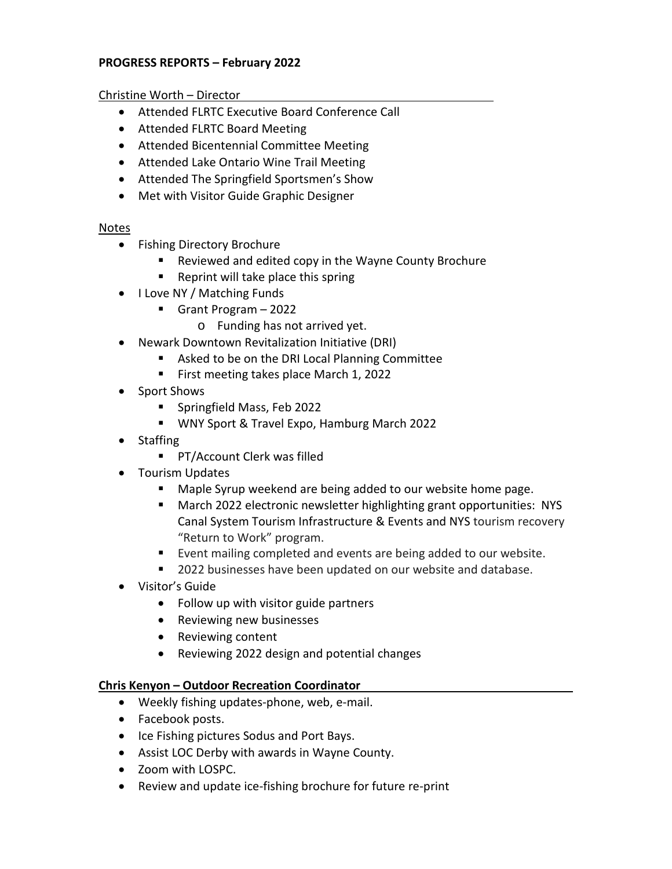## **PROGRESS REPORTS – February 2022**

Christine Worth – Director

- Attended FLRTC Executive Board Conference Call
- Attended FLRTC Board Meeting
- Attended Bicentennial Committee Meeting
- Attended Lake Ontario Wine Trail Meeting
- Attended The Springfield Sportsmen's Show
- Met with Visitor Guide Graphic Designer

## Notes

- Fishing Directory Brochure
	- Reviewed and edited copy in the Wayne County Brochure
	- Reprint will take place this spring
- I Love NY / Matching Funds
	- Grant Program 2022
		- o Funding has not arrived yet.
- Newark Downtown Revitalization Initiative (DRI)
	- Asked to be on the DRI Local Planning Committee
		- First meeting takes place March 1, 2022
- Sport Shows
	- **Springfield Mass, Feb 2022**
	- **WINY Sport & Travel Expo, Hamburg March 2022**
- Staffing
	- PT/Account Clerk was filled
- Tourism Updates
	- Maple Syrup weekend are being added to our website home page.
	- March 2022 electronic newsletter highlighting grant opportunities: NYS Canal System Tourism Infrastructure & Events and NYS tourism recovery "Return to Work" program.
	- Event mailing completed and events are being added to our website.
	- 2022 businesses have been updated on our website and database.
- Visitor's Guide
	- Follow up with visitor guide partners
	- Reviewing new businesses
	- Reviewing content
	- Reviewing 2022 design and potential changes

## **Chris Kenyon – Outdoor Recreation Coordinator**

- Weekly fishing updates-phone, web, e-mail.
- Facebook posts.
- Ice Fishing pictures Sodus and Port Bays.
- Assist LOC Derby with awards in Wayne County.
- Zoom with LOSPC.
- Review and update ice-fishing brochure for future re-print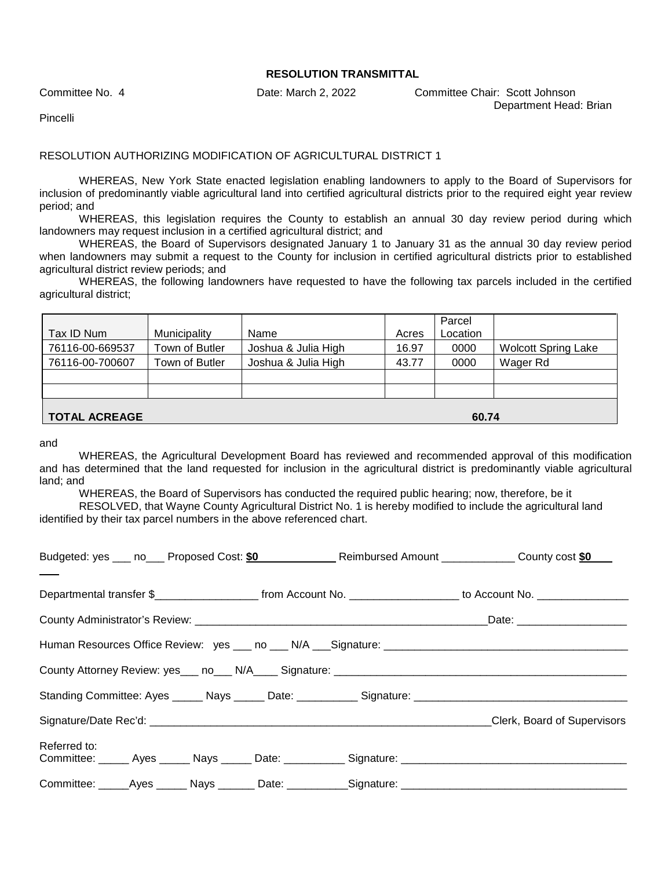Committee No. 4 Date: March 2, 2022 Committee Chair: Scott Johnson Department Head: Brian

Pincelli

#### RESOLUTION AUTHORIZING MODIFICATION OF AGRICULTURAL DISTRICT 1

WHEREAS, New York State enacted legislation enabling landowners to apply to the Board of Supervisors for inclusion of predominantly viable agricultural land into certified agricultural districts prior to the required eight year review period; and

WHEREAS, this legislation requires the County to establish an annual 30 day review period during which landowners may request inclusion in a certified agricultural district; and

WHEREAS, the Board of Supervisors designated January 1 to January 31 as the annual 30 day review period when landowners may submit a request to the County for inclusion in certified agricultural districts prior to established agricultural district review periods; and

WHEREAS, the following landowners have requested to have the following tax parcels included in the certified agricultural district;

|                               |                |                     |       | Parcel   |                            |
|-------------------------------|----------------|---------------------|-------|----------|----------------------------|
| Tax ID Num                    | Municipality   | Name                | Acres | Location |                            |
| 76116-00-669537               | Town of Butler | Joshua & Julia High | 16.97 | 0000     | <b>Wolcott Spring Lake</b> |
| 76116-00-700607               | Town of Butler | Joshua & Julia High | 43.77 | 0000     | Wager Rd                   |
|                               |                |                     |       |          |                            |
|                               |                |                     |       |          |                            |
| <b>TOTAL ACREAGE</b><br>60.74 |                |                     |       |          |                            |

and

WHEREAS, the Agricultural Development Board has reviewed and recommended approval of this modification and has determined that the land requested for inclusion in the agricultural district is predominantly viable agricultural land; and

WHEREAS, the Board of Supervisors has conducted the required public hearing; now, therefore, be it

RESOLVED, that Wayne County Agricultural District No. 1 is hereby modified to include the agricultural land identified by their tax parcel numbers in the above referenced chart.

|              |  |                                                                                                      | Departmental transfer \$________________________________from Account No. ____________________________ to Account No. ___________________ |
|--------------|--|------------------------------------------------------------------------------------------------------|------------------------------------------------------------------------------------------------------------------------------------------|
|              |  |                                                                                                      |                                                                                                                                          |
|              |  |                                                                                                      |                                                                                                                                          |
|              |  |                                                                                                      |                                                                                                                                          |
|              |  |                                                                                                      |                                                                                                                                          |
|              |  |                                                                                                      |                                                                                                                                          |
| Referred to: |  | Committee: Ayes Nays Date: Signature: Committee: Ayes Ayes Nays Date: Committee:                     |                                                                                                                                          |
|              |  | Committee: ______Ayes _______ Nays ________ Date: ___________Signature: ____________________________ |                                                                                                                                          |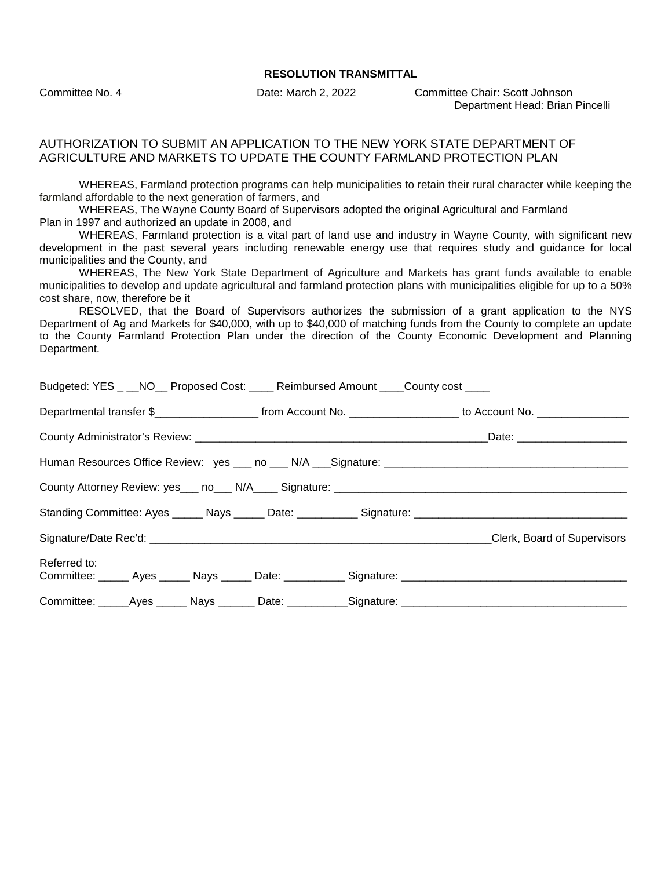Committee No. 4 Date: March 2, 2022 Committee Chair: Scott Johnson Department Head: Brian Pincelli

## AUTHORIZATION TO SUBMIT AN APPLICATION TO THE NEW YORK STATE DEPARTMENT OF AGRICULTURE AND MARKETS TO UPDATE THE COUNTY FARMLAND PROTECTION PLAN

WHEREAS, Farmland protection programs can help municipalities to retain their rural character while keeping the farmland affordable to the next generation of farmers, and

WHEREAS, The Wayne County Board of Supervisors adopted the original Agricultural and Farmland Plan in 1997 and authorized an update in 2008, and

WHEREAS, Farmland protection is a vital part of land use and industry in Wayne County, with significant new development in the past several years including renewable energy use that requires study and guidance for local municipalities and the County, and

WHEREAS, The New York State Department of Agriculture and Markets has grant funds available to enable municipalities to develop and update agricultural and farmland protection plans with municipalities eligible for up to a 50% cost share, now, therefore be it

RESOLVED, that the Board of Supervisors authorizes the submission of a grant application to the NYS Department of Ag and Markets for \$40,000, with up to \$40,000 of matching funds from the County to complete an update to the County Farmland Protection Plan under the direction of the County Economic Development and Planning Department.

| Budgeted: YES _ _NO_ Proposed Cost: ___ Reimbursed Amount ____County cost ____                                        |  |  |
|-----------------------------------------------------------------------------------------------------------------------|--|--|
| Departmental transfer \$________________________ from Account No. ____________________ to Account No. _______________ |  |  |
|                                                                                                                       |  |  |
|                                                                                                                       |  |  |
|                                                                                                                       |  |  |
|                                                                                                                       |  |  |
|                                                                                                                       |  |  |
| Referred to:                                                                                                          |  |  |
|                                                                                                                       |  |  |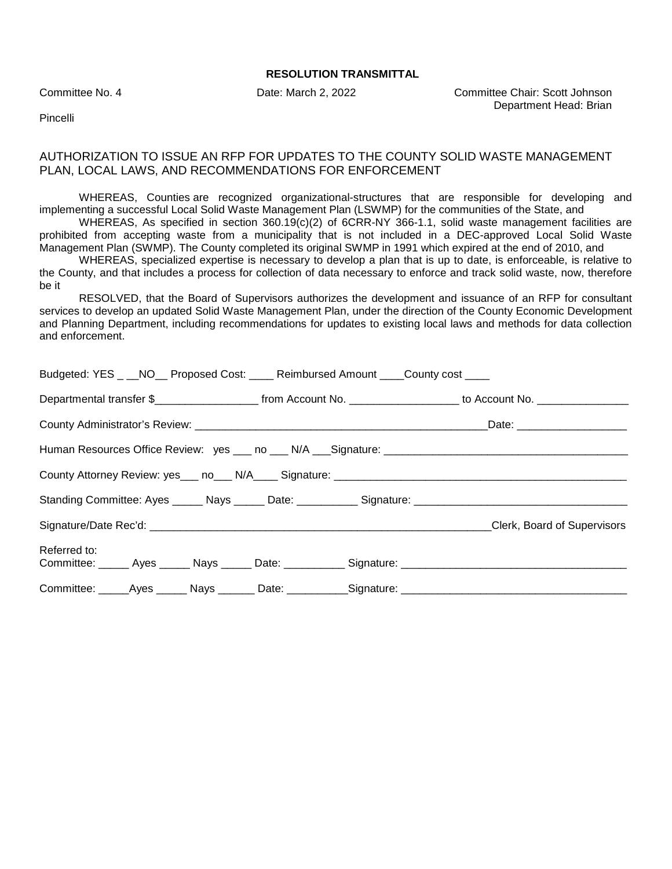Committee No. 4 Date: March 2, 2022 Committee Chair: Scott Johnson Department Head: Brian

Pincelli

## AUTHORIZATION TO ISSUE AN RFP FOR UPDATES TO THE COUNTY SOLID WASTE MANAGEMENT PLAN, LOCAL LAWS, AND RECOMMENDATIONS FOR ENFORCEMENT

WHEREAS, Counties are recognized organizational-structures that are responsible for developing and implementing a successful Local Solid Waste Management Plan (LSWMP) for the communities of the State, and WHEREAS, As specified in section 360.19(c)(2) of [6CRR-NY 366-1.1,](https://govt.westlaw.com/nycrr/Document/Id4d7dcd4dfe911e7aa6b9b71698a280b?viewType=FullText&originationContext=documenttoc&transitionType=CategoryPageItem&contextData=(sc.Default)) solid waste management facilities are

prohibited from accepting waste from a municipality that is not included in a DEC-approved Local Solid Waste Management Plan (SWMP). The County completed its original SWMP in 1991 which expired at the end of 2010, and

WHEREAS, specialized expertise is necessary to develop a plan that is up to date, is enforceable, is relative to the County, and that includes a process for collection of data necessary to enforce and track solid waste, now, therefore be it

RESOLVED, that the Board of Supervisors authorizes the development and issuance of an RFP for consultant services to develop an updated Solid Waste Management Plan, under the direction of the County Economic Development and Planning Department, including recommendations for updates to existing local laws and methods for data collection and enforcement.

| Budgeted: YES _ _NO_ Proposed Cost: ___ Reimbursed Amount ____County cost ____                                        |  |
|-----------------------------------------------------------------------------------------------------------------------|--|
| Departmental transfer \$________________________ from Account No. ____________________ to Account No. _______________ |  |
|                                                                                                                       |  |
|                                                                                                                       |  |
|                                                                                                                       |  |
|                                                                                                                       |  |
|                                                                                                                       |  |
| Referred to:<br>Committee: ______ Ayes ______ Nays ______ Date: ___________ Signature: _____________________________  |  |
| Committee: _____Ayes ______ Nays _______ Date: __________Signature: ________________________________                  |  |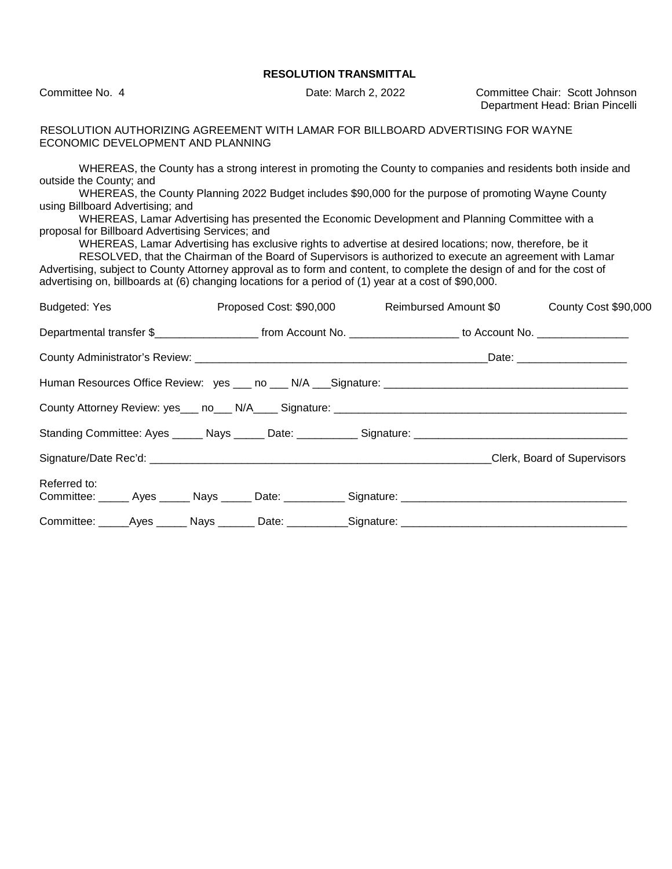Committee No. 4 Date: March 2, 2022 Committee Chair: Scott Johnson Department Head: Brian Pincelli

## RESOLUTION AUTHORIZING AGREEMENT WITH LAMAR FOR BILLBOARD ADVERTISING FOR WAYNE ECONOMIC DEVELOPMENT AND PLANNING

WHEREAS, the County has a strong interest in promoting the County to companies and residents both inside and outside the County; and

WHEREAS, the County Planning 2022 Budget includes \$90,000 for the purpose of promoting Wayne County using Billboard Advertising; and

WHEREAS, Lamar Advertising has presented the Economic Development and Planning Committee with a proposal for Billboard Advertising Services; and

WHEREAS, Lamar Advertising has exclusive rights to advertise at desired locations; now, therefore, be it

RESOLVED, that the Chairman of the Board of Supervisors is authorized to execute an agreement with Lamar Advertising, subject to County Attorney approval as to form and content, to complete the design of and for the cost of advertising on, billboards at (6) changing locations for a period of (1) year at a cost of \$90,000.

| Budgeted: Yes and the state of the state of the state of the state of the state of the state of the state of the state of the state of the state of the state of the state of the state of the state of the state of the state |  |  |  |  |  | Proposed Cost: \$90,000 Reimbursed Amount \$0 County Cost \$90,000 |  |
|--------------------------------------------------------------------------------------------------------------------------------------------------------------------------------------------------------------------------------|--|--|--|--|--|--------------------------------------------------------------------|--|
| Departmental transfer \$_______________________ from Account No. ___________________ to Account No. ____________                                                                                                               |  |  |  |  |  |                                                                    |  |
|                                                                                                                                                                                                                                |  |  |  |  |  |                                                                    |  |
|                                                                                                                                                                                                                                |  |  |  |  |  |                                                                    |  |
|                                                                                                                                                                                                                                |  |  |  |  |  |                                                                    |  |
|                                                                                                                                                                                                                                |  |  |  |  |  |                                                                    |  |
|                                                                                                                                                                                                                                |  |  |  |  |  |                                                                    |  |
| Referred to:                                                                                                                                                                                                                   |  |  |  |  |  |                                                                    |  |
|                                                                                                                                                                                                                                |  |  |  |  |  |                                                                    |  |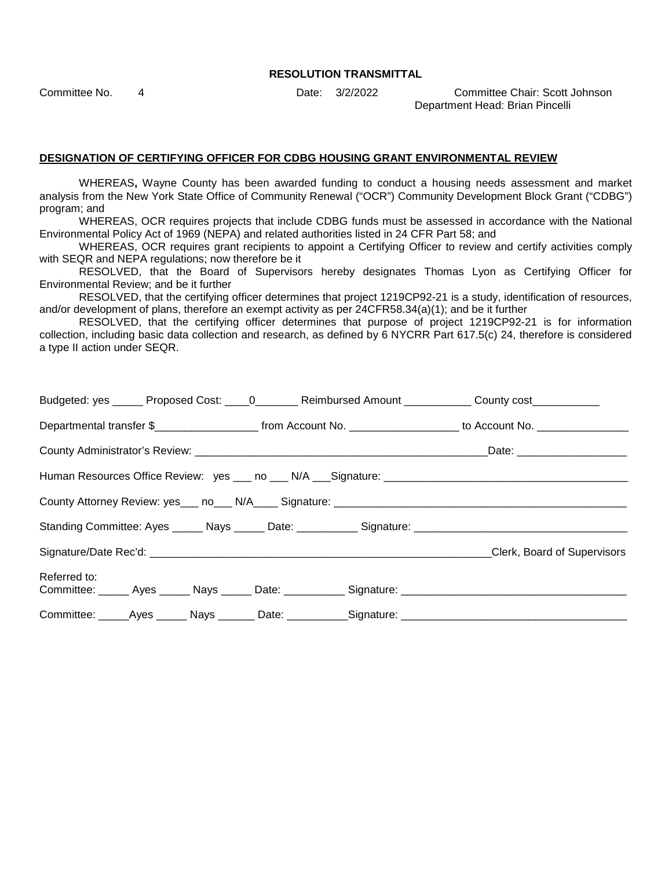Committee No. 4 Date: 3/2/2022 Committee Chair: Scott Johnson Department Head: Brian Pincelli

#### **DESIGNATION OF CERTIFYING OFFICER FOR CDBG HOUSING GRANT ENVIRONMENTAL REVIEW**

WHEREAS**,** Wayne County has been awarded funding to conduct a housing needs assessment and market analysis from the New York State Office of Community Renewal ("OCR") Community Development Block Grant ("CDBG") program; and

WHEREAS, OCR requires projects that include CDBG funds must be assessed in accordance with the National Environmental Policy Act of 1969 (NEPA) and related authorities listed in 24 CFR Part 58; and

WHEREAS, OCR requires grant recipients to appoint a Certifying Officer to review and certify activities comply with SEQR and NEPA regulations; now therefore be it

RESOLVED, that the Board of Supervisors hereby designates Thomas Lyon as Certifying Officer for Environmental Review; and be it further

RESOLVED, that the certifying officer determines that project 1219CP92-21 is a study, identification of resources, and/or development of plans, therefore an exempt activity as per 24CFR58.34(a)(1); and be it further

RESOLVED, that the certifying officer determines that purpose of project 1219CP92-21 is for information collection, including basic data collection and research, as defined by 6 NYCRR Part 617.5(c) 24, therefore is considered a type II action under SEQR.

| Budgeted: yes ______ Proposed Cost: ____0________ Reimbursed Amount ___________ County cost__________ |  |                                                                                                                                         |
|-------------------------------------------------------------------------------------------------------|--|-----------------------------------------------------------------------------------------------------------------------------------------|
|                                                                                                       |  | Departmental transfer \$________________________________from Account No. ____________________________ to Account No. __________________ |
|                                                                                                       |  |                                                                                                                                         |
|                                                                                                       |  |                                                                                                                                         |
|                                                                                                       |  |                                                                                                                                         |
|                                                                                                       |  |                                                                                                                                         |
|                                                                                                       |  |                                                                                                                                         |
| Referred to:                                                                                          |  |                                                                                                                                         |
| Committee: _____Ayes ______ Nays _______ Date: __________Signature: ________________________________  |  |                                                                                                                                         |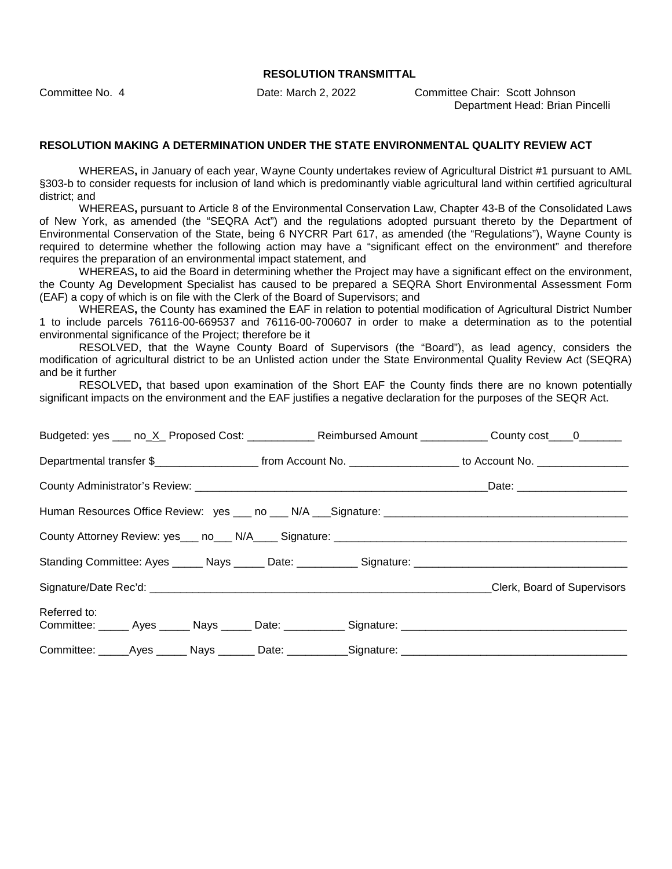Committee No. 4 Date: March 2, 2022 Committee Chair: Scott Johnson Department Head: Brian Pincelli

## **RESOLUTION MAKING A DETERMINATION UNDER THE STATE ENVIRONMENTAL QUALITY REVIEW ACT**

WHEREAS**,** in January of each year, Wayne County undertakes review of Agricultural District #1 pursuant to AML §303-b to consider requests for inclusion of land which is predominantly viable agricultural land within certified agricultural district; and

WHEREAS**,** pursuant to Article 8 of the Environmental Conservation Law, Chapter 43-B of the Consolidated Laws of New York, as amended (the "SEQRA Act") and the regulations adopted pursuant thereto by the Department of Environmental Conservation of the State, being 6 NYCRR Part 617, as amended (the "Regulations"), Wayne County is required to determine whether the following action may have a "significant effect on the environment" and therefore requires the preparation of an environmental impact statement, and

WHEREAS**,** to aid the Board in determining whether the Project may have a significant effect on the environment, the County Ag Development Specialist has caused to be prepared a SEQRA Short Environmental Assessment Form (EAF) a copy of which is on file with the Clerk of the Board of Supervisors; and

WHEREAS**,** the County has examined the EAF in relation to potential modification of Agricultural District Number 1 to include parcels 76116-00-669537 and 76116-00-700607 in order to make a determination as to the potential environmental significance of the Project; therefore be it

RESOLVED, that the Wayne County Board of Supervisors (the "Board"), as lead agency, considers the modification of agricultural district to be an Unlisted action under the State Environmental Quality Review Act (SEQRA) and be it further

RESOLVED**,** that based upon examination of the Short EAF the County finds there are no known potentially significant impacts on the environment and the EAF justifies a negative declaration for the purposes of the SEQR Act.

| Budgeted: yes ___ no_X_ Proposed Cost: _____________ Reimbursed Amount ___________ County cost ____0_______ |  |  |
|-------------------------------------------------------------------------------------------------------------|--|--|
|                                                                                                             |  |  |
|                                                                                                             |  |  |
|                                                                                                             |  |  |
|                                                                                                             |  |  |
|                                                                                                             |  |  |
|                                                                                                             |  |  |
| Referred to:                                                                                                |  |  |
| Committee: _____Ayes ______ Nays _______ Date: ___________Signature: _______________________________        |  |  |